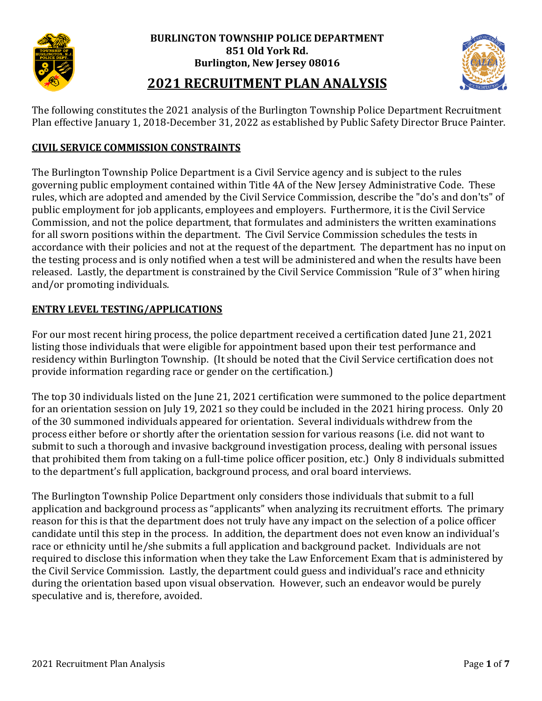



## **2021 RECRUITMENT PLAN ANALYSIS**

The following constitutes the 2021 analysis of the Burlington Township Police Department Recruitment Plan effective January 1, 2018-December 31, 2022 as established by Public Safety Director Bruce Painter.

#### **CIVIL SERVICE COMMISSION CONSTRAINTS**

The Burlington Township Police Department is a Civil Service agency and is subject to the rules governing public employment contained within Title 4A of the New Jersey Administrative Code. These rules, which are adopted and amended by the Civil Service Commission, describe the "do's and don'ts" of public employment for job applicants, employees and employers. Furthermore, it is the Civil Service Commission, and not the police department, that formulates and administers the written examinations for all sworn positions within the department. The Civil Service Commission schedules the tests in accordance with their policies and not at the request of the department. The department has no input on the testing process and is only notified when a test will be administered and when the results have been released. Lastly, the department is constrained by the Civil Service Commission "Rule of 3" when hiring and/or promoting individuals.

#### **ENTRY LEVEL TESTING/APPLICATIONS**

For our most recent hiring process, the police department received a certification dated June 21, 2021 listing those individuals that were eligible for appointment based upon their test performance and residency within Burlington Township. (It should be noted that the Civil Service certification does not provide information regarding race or gender on the certification.)

The top 30 individuals listed on the June 21, 2021 certification were summoned to the police department for an orientation session on July 19, 2021 so they could be included in the 2021 hiring process. Only 20 of the 30 summoned individuals appeared for orientation. Several individuals withdrew from the process either before or shortly after the orientation session for various reasons (i.e. did not want to submit to such a thorough and invasive background investigation process, dealing with personal issues that prohibited them from taking on a full-time police officer position, etc.) Only 8 individuals submitted to the department's full application, background process, and oral board interviews.

The Burlington Township Police Department only considers those individuals that submit to a full application and background process as "applicants" when analyzing its recruitment efforts. The primary reason for this is that the department does not truly have any impact on the selection of a police officer candidate until this step in the process. In addition, the department does not even know an individual's race or ethnicity until he/she submits a full application and background packet. Individuals are not required to disclose this information when they take the Law Enforcement Exam that is administered by the Civil Service Commission. Lastly, the department could guess and individual's race and ethnicity during the orientation based upon visual observation. However, such an endeavor would be purely speculative and is, therefore, avoided.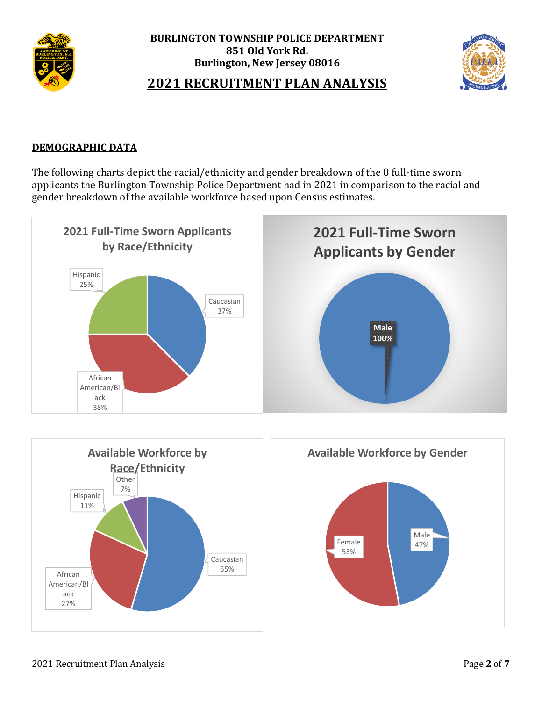



## **2021 RECRUITMENT PLAN ANALYSIS**

#### **DEMOGRAPHIC DATA**

The following charts depict the racial/ethnicity and gender breakdown of the 8 full-time sworn applicants the Burlington Township Police Department had in 2021 in comparison to the racial and gender breakdown of the available workforce based upon Census estimates.



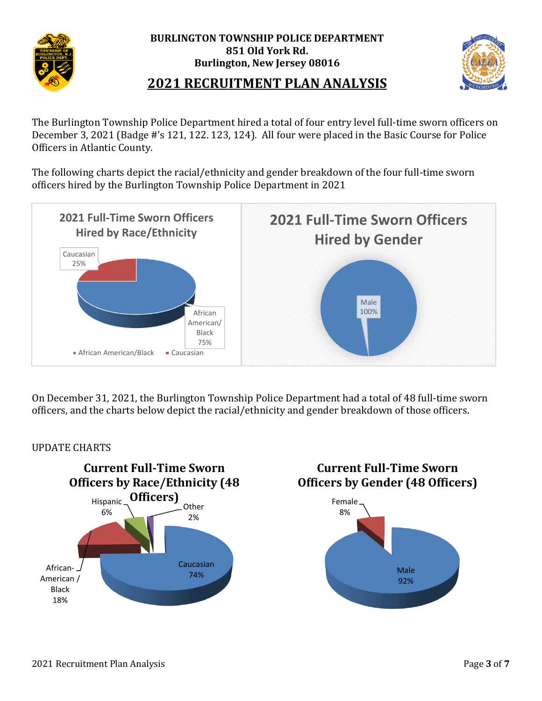



## **2021 RECRUITMENT PLAN ANALYSIS**

The Burlington Township Police Department hired a total of four entry level full-time sworn officers on December 3, 2021 (Badge #'s 121, 122. 123, 124). All four were placed in the Basic Course for Police Officers in Atlantic County.

The following charts depict the racial/ethnicity and gender breakdown of the four full-time sworn officers hired by the Burlington Township Police Department in 2021



On December 31, 2021, the Burlington Township Police Department had a total of 48 full-time sworn officers, and the charts below depict the racial/ethnicity and gender breakdown of those officers.

#### UPDATE CHARTS

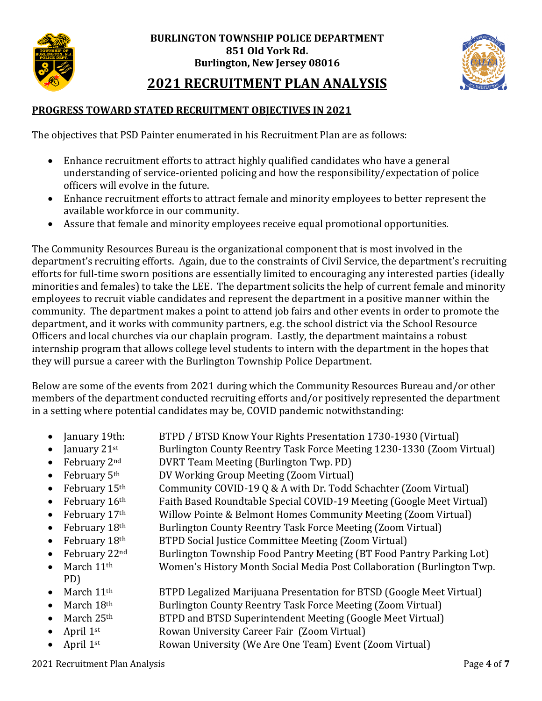



## **2021 RECRUITMENT PLAN ANALYSIS**

#### **PROGRESS TOWARD STATED RECRUITMENT OBJECTIVES IN 2021**

The objectives that PSD Painter enumerated in his Recruitment Plan are as follows:

- Enhance recruitment efforts to attract highly qualified candidates who have a general understanding of service-oriented policing and how the responsibility/expectation of police officers will evolve in the future.
- Enhance recruitment efforts to attract female and minority employees to better represent the available workforce in our community.
- Assure that female and minority employees receive equal promotional opportunities.

The Community Resources Bureau is the organizational component that is most involved in the department's recruiting efforts. Again, due to the constraints of Civil Service, the department's recruiting efforts for full-time sworn positions are essentially limited to encouraging any interested parties (ideally minorities and females) to take the LEE. The department solicits the help of current female and minority employees to recruit viable candidates and represent the department in a positive manner within the community. The department makes a point to attend job fairs and other events in order to promote the department, and it works with community partners, e.g. the school district via the School Resource Officers and local churches via our chaplain program. Lastly, the department maintains a robust internship program that allows college level students to intern with the department in the hopes that they will pursue a career with the Burlington Township Police Department.

Below are some of the events from 2021 during which the Community Resources Bureau and/or other members of the department conducted recruiting efforts and/or positively represented the department in a setting where potential candidates may be, COVID pandemic notwithstanding:

- January 19th: BTPD / BTSD Know Your Rights Presentation 1730-1930 (Virtual)
- January  $21^{st}$  Burlington County Reentry Task Force Meeting 1230-1330 (Zoom Virtual)
- February 2<sup>nd</sup> DVRT Team Meeting (Burlington Twp. PD)
- February 5<sup>th</sup> DV Working Group Meeting (Zoom Virtual)
- February 15<sup>th</sup> Community COVID-19 Q & A with Dr. Todd Schachter (Zoom Virtual)
- February 16<sup>th</sup> Faith Based Roundtable Special COVID-19 Meeting (Google Meet Virtual)
- February 17<sup>th</sup> Willow Pointe & Belmont Homes Community Meeting (Zoom Virtual)
	- February 18<sup>th</sup> Burlington County Reentry Task Force Meeting (Zoom Virtual)
	- February 18<sup>th</sup> BTPD Social Justice Committee Meeting (Zoom Virtual)
		- February 22nd Burlington Township Food Pantry Meeting (BT Food Pantry Parking Lot)
- March 11<sup>th</sup> Women's History Month Social Media Post Collaboration (Burlington Twp. PD)
	- March 11<sup>th</sup> BTPD Legalized Marijuana Presentation for BTSD (Google Meet Virtual)
		- March 18<sup>th</sup> Burlington County Reentry Task Force Meeting (Zoom Virtual)
	- March  $25<sup>th</sup>$  BTPD and BTSD Superintendent Meeting (Google Meet Virtual)
	- April 1<sup>st</sup> Rowan University Career Fair (Zoom Virtual)
	- April 1<sup>st</sup> Rowan University (We Are One Team) Event (Zoom Virtual)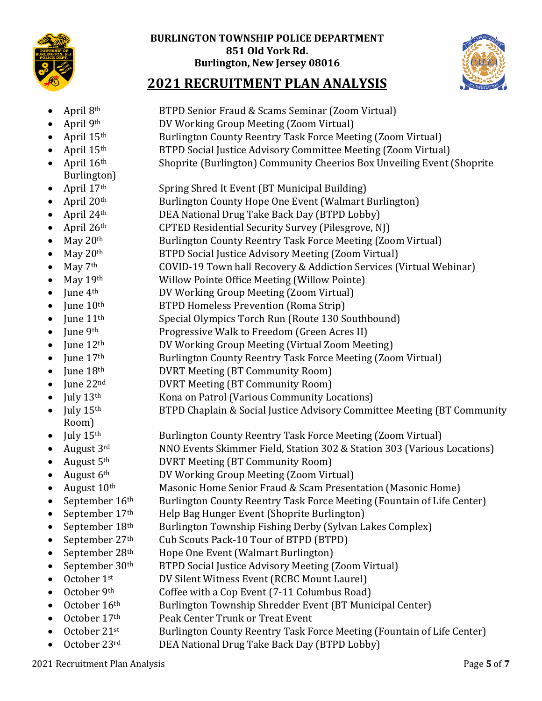



# **2021 RECRUITMENT PLAN ANALYSIS**

- April 8<sup>th</sup> BTPD Senior Fraud & Scams Seminar (Zoom Virtual)
- April 9th DV Working Group Meeting (Zoom Virtual)
- April 15<sup>th</sup> Burlington County Reentry Task Force Meeting (Zoom Virtual)
- April 15<sup>th</sup> BTPD Social Justice Advisory Committee Meeting (Zoom Virtual)
- April  $16<sup>th</sup>$  Shoprite (Burlington) Community Cheerios Box Unveiling Event (Shoprite Burlington)
- April 17<sup>th</sup> Spring Shred It Event (BT Municipal Building)
- April 20<sup>th</sup> Burlington County Hope One Event (Walmart Burlington)
- April 24<sup>th</sup> DEA National Drug Take Back Day (BTPD Lobby)
- April 26<sup>th</sup> CPTED Residential Security Survey (Pilesgrove, NJ)
- May 20<sup>th</sup> Burlington County Reentry Task Force Meeting (Zoom Virtual)
- May 20<sup>th</sup> BTPD Social Justice Advisory Meeting (Zoom Virtual)
- May 7<sup>th</sup> COVID-19 Town hall Recovery & Addiction Services (Virtual Webinar)
- May 19<sup>th</sup> Willow Pointe Office Meeting (Willow Pointe)
- June 4<sup>th</sup> DV Working Group Meeting (Zoom Virtual)
- June  $10<sup>th</sup>$  BTPD Homeless Prevention (Roma Strip)
- June  $11<sup>th</sup>$  Special Olympics Torch Run (Route 130 Southbound)
- June 9<sup>th</sup> Progressive Walk to Freedom (Green Acres II)
- June 12<sup>th</sup> DV Working Group Meeting (Virtual Zoom Meeting)
- June 17<sup>th</sup> Burlington County Reentry Task Force Meeting (Zoom Virtual)
- June 18<sup>th</sup> DVRT Meeting (BT Community Room)
- June 22<sup>nd</sup> DVRT Meeting (BT Community Room)
- Iuly 13<sup>th</sup> Kona on Patrol (Various Community Locations)
- July 15<sup>th</sup> BTPD Chaplain & Social Justice Advisory Committee Meeting (BT Community Room)
- July 15<sup>th</sup> Burlington County Reentry Task Force Meeting (Zoom Virtual)
	- August 3rd NNO Events Skimmer Field, Station 302 & Station 303 (Various Locations)
- August 5<sup>th</sup> DVRT Meeting (BT Community Room)
- August 6<sup>th</sup> DV Working Group Meeting (Zoom Virtual)
- August 10<sup>th</sup> Masonic Home Senior Fraud & Scam Presentation (Masonic Home)
- September 16<sup>th</sup> Burlington County Reentry Task Force Meeting (Fountain of Life Center)
	- September 17<sup>th</sup> Help Bag Hunger Event (Shoprite Burlington)
- September  $18<sup>th</sup>$  Burlington Township Fishing Derby (Sylvan Lakes Complex)
- September 27<sup>th</sup> Cub Scouts Pack-10 Tour of BTPD (BTPD)
- September  $28<sup>th</sup>$  Hope One Event (Walmart Burlington)
- September 30<sup>th</sup> BTPD Social Justice Advisory Meeting (Zoom Virtual)
- October 1<sup>st</sup> DV Silent Witness Event (RCBC Mount Laurel)
- October 9<sup>th</sup> Coffee with a Cop Event (7-11 Columbus Road)
- October  $16<sup>th</sup>$  Burlington Township Shredder Event (BT Municipal Center)
- October 17<sup>th</sup> Peak Center Trunk or Treat Event
- October 21<sup>st</sup> Burlington County Reentry Task Force Meeting (Fountain of Life Center)
- October 23rd DEA National Drug Take Back Day (BTPD Lobby)

2021 Recruitment Plan Analysis Page **5** of **7**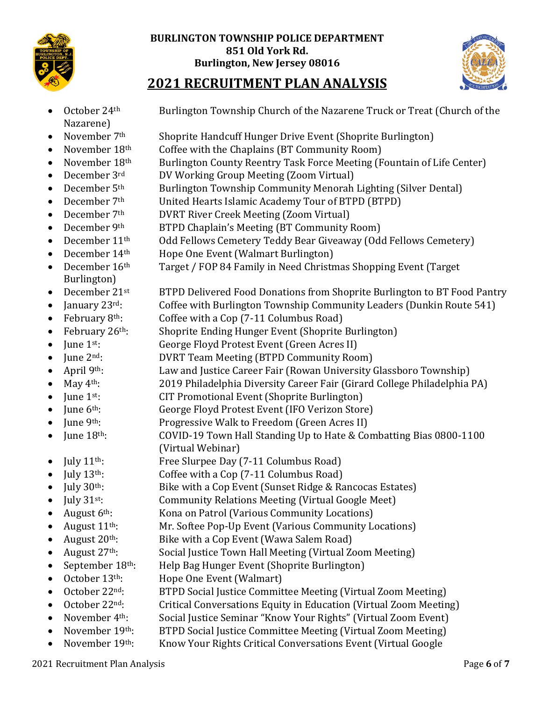



# **2021 RECRUITMENT PLAN ANALYSIS**

Nazarene)

October 24<sup>th</sup> Burlington Township Church of the Nazarene Truck or Treat (Church of the

- November 7<sup>th</sup> Shoprite Handcuff Hunger Drive Event (Shoprite Burlington)
	- November 18<sup>th</sup> Coffee with the Chaplains (BT Community Room)
- November 18<sup>th</sup> Burlington County Reentry Task Force Meeting (Fountain of Life Center)
- December 3<sup>rd</sup> DV Working Group Meeting (Zoom Virtual)
- December  $5<sup>th</sup>$  Burlington Township Community Menorah Lighting (Silver Dental)
- December 7<sup>th</sup> United Hearts Islamic Academy Tour of BTPD (BTPD)
- December 7<sup>th</sup> DVRT River Creek Meeting (Zoom Virtual)
- December 9<sup>th</sup> BTPD Chaplain's Meeting (BT Community Room)
- December 11<sup>th</sup> Odd Fellows Cemetery Teddy Bear Giveaway (Odd Fellows Cemetery)
- December 14<sup>th</sup> Hope One Event (Walmart Burlington)
- December 16<sup>th</sup> Target / FOP 84 Family in Need Christmas Shopping Event (Target Burlington)
- December 21<sup>st</sup> BTPD Delivered Food Donations from Shoprite Burlington to BT Food Pantry
- January 23<sup>rd</sup>: Coffee with Burlington Township Community Leaders (Dunkin Route 541)
- February  $8<sup>th</sup>$ : Coffee with a Cop (7-11 Columbus Road)
- February 26<sup>th</sup>: Shoprite Ending Hunger Event (Shoprite Burlington)
- June 1<sup>st</sup>: George Floyd Protest Event (Green Acres II)
- June 2<sup>nd</sup>: DVRT Team Meeting (BTPD Community Room)
- April 9<sup>th</sup>: Law and Justice Career Fair (Rowan University Glassboro Township)
- May  $4<sup>th</sup>$ : 2019 Philadelphia Diversity Career Fair (Girard College Philadelphia PA)
- June 1<sup>st</sup>: CIT Promotional Event (Shoprite Burlington)
- June 6<sup>th</sup>: George Floyd Protest Event (IFO Verizon Store)
- June 9th: Progressive Walk to Freedom (Green Acres II)
- June 18<sup>th</sup>: COVID-19 Town Hall Standing Up to Hate & Combatting Bias 0800-1100 (Virtual Webinar)
- July 11<sup>th</sup>: Free Slurpee Day (7-11 Columbus Road)
- July 13<sup>th</sup>: Coffee with a Cop (7-11 Columbus Road)
- July  $30<sup>th</sup>$ : Bike with a Cop Event (Sunset Ridge & Rancocas Estates)
- July 31<sup>st</sup>: Community Relations Meeting (Virtual Google Meet)
- August  $6<sup>th</sup>$ : Kona on Patrol (Various Community Locations)
- August 11<sup>th</sup>: Mr. Softee Pop-Up Event (Various Community Locations)
- August 20<sup>th</sup>: Bike with a Cop Event (Wawa Salem Road)
- August 27<sup>th</sup>: Social Justice Town Hall Meeting (Virtual Zoom Meeting)
- September 18<sup>th</sup>: Help Bag Hunger Event (Shoprite Burlington)
- October 13<sup>th</sup>: Hope One Event (Walmart)
- October 22<sup>nd</sup>: BTPD Social Justice Committee Meeting (Virtual Zoom Meeting)
- October 22<sup>nd</sup>: Critical Conversations Equity in Education (Virtual Zoom Meeting)
- November 4<sup>th</sup>: Social Justice Seminar "Know Your Rights" (Virtual Zoom Event)
- November 19<sup>th</sup>: BTPD Social Justice Committee Meeting (Virtual Zoom Meeting)
- November 19<sup>th</sup>: Know Your Rights Critical Conversations Event (Virtual Google